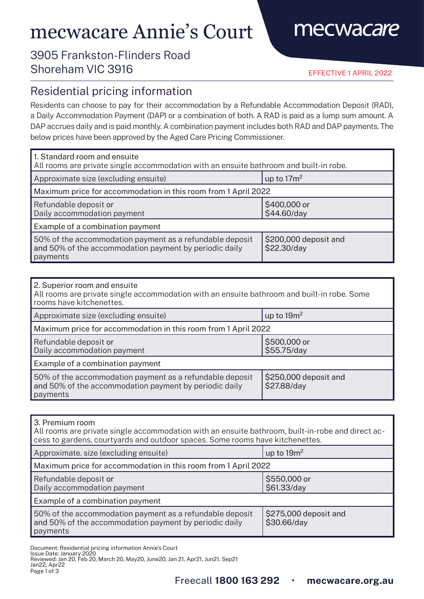# mecwacare Annie's Court

## mecwacare

### 3905 Frankston-Flinders Road Shoreham VIC 3916

EFFECTIVE 1 APRIL 2022

#### Residential pricing information

Residents can choose to pay for their accommodation by a Refundable Accommodation Deposit (RAD), a Daily Accommodation Payment (DAP) or a combination of both. A RAD is paid as a lump sum amount. A DAP accrues daily and is paid monthly. A combination payment includes both RAD and DAP payments. The below prices have been approved by the Aged Care Pricing Commissioner.

| 1. Standard room and ensuite<br>All rooms are private single accommodation with an ensuite bathroom and built-in robe.         |                                      |  |
|--------------------------------------------------------------------------------------------------------------------------------|--------------------------------------|--|
| Approximate size (excluding ensuite)                                                                                           | up to $17m^2$                        |  |
| Maximum price for accommodation in this room from 1 April 2022                                                                 |                                      |  |
| Refundable deposit or<br>Daily accommodation payment                                                                           | \$400,000 or<br>\$44.60/day          |  |
| Example of a combination payment                                                                                               |                                      |  |
| 50% of the accommodation payment as a refundable deposit<br>and 50% of the accommodation payment by periodic daily<br>payments | \$200,000 deposit and<br>\$22.30/day |  |

| 2. Superior room and ensuite<br>All rooms are private single accommodation with an ensuite bathroom and built-in robe. Some<br>rooms have kitchenettes. |                                      |  |
|---------------------------------------------------------------------------------------------------------------------------------------------------------|--------------------------------------|--|
| Approximate size (excluding ensuite)                                                                                                                    | up to $19m^2$                        |  |
| Maximum price for accommodation in this room from 1 April 2022                                                                                          |                                      |  |
| Refundable deposit or<br>Daily accommodation payment                                                                                                    | \$500,000 or<br>\$55.75/day          |  |
| Example of a combination payment                                                                                                                        |                                      |  |
| 50% of the accommodation payment as a refundable deposit<br>and 50% of the accommodation payment by periodic daily<br>payments                          | \$250,000 deposit and<br>\$27.88/day |  |

| 3. Premium room |  |
|-----------------|--|
|                 |  |

All rooms are private single accommodation with an ensuite bathroom, built-in-robe and direct access to gardens, courtyards and outdoor spaces. Some rooms have kitchenettes.

| Approximate. size (excluding ensuite)                                                                                          | up to $19m^2$                        |  |
|--------------------------------------------------------------------------------------------------------------------------------|--------------------------------------|--|
| Maximum price for accommodation in this room from 1 April 2022                                                                 |                                      |  |
| Refundable deposit or<br>Daily accommodation payment                                                                           | \$550,000 or<br>\$61.33/day          |  |
| Example of a combination payment                                                                                               |                                      |  |
| 50% of the accommodation payment as a refundable deposit<br>and 50% of the accommodation payment by periodic daily<br>payments | \$275,000 deposit and<br>\$30.66/day |  |

Document: Residential pricing information Annie's Court

Issue Date: January 2020 Reviewed: Jan 20, Feb 20, March 20, May20, June20, Jan 21, Apr21, Jun21, Sep21 Jan22, Apr22 Page 1 of 3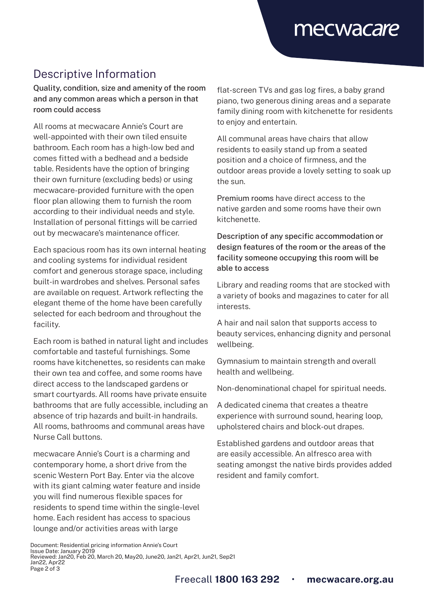### Descriptive Information

Quality, condition, size and amenity of the room and any common areas which a person in that room could access

All rooms at mecwacare Annie's Court are well-appointed with their own tiled ensuite bathroom. Each room has a high-low bed and comes fitted with a bedhead and a bedside table. Residents have the option of bringing their own furniture (excluding beds) or using mecwacare-provided furniture with the open floor plan allowing them to furnish the room according to their individual needs and style. Installation of personal fittings will be carried out by mecwacare's maintenance officer.

Each spacious room has its own internal heating and cooling systems for individual resident comfort and generous storage space, including built-in wardrobes and shelves. Personal safes are available on request. Artwork reflecting the elegant theme of the home have been carefully selected for each bedroom and throughout the facility.

Each room is bathed in natural light and includes comfortable and tasteful furnishings. Some rooms have kitchenettes, so residents can make their own tea and coffee, and some rooms have direct access to the landscaped gardens or smart courtyards. All rooms have private ensuite bathrooms that are fully accessible, including an absence of trip hazards and built-in handrails. All rooms, bathrooms and communal areas have Nurse Call buttons.

mecwacare Annie's Court is a charming and contemporary home, a short drive from the scenic Western Port Bay. Enter via the alcove with its giant calming water feature and inside you will find numerous flexible spaces for residents to spend time within the single-level home. Each resident has access to spacious lounge and/or activities areas with large

flat-screen TVs and gas log fires, a baby grand piano, two generous dining areas and a separate family dining room with kitchenette for residents to enjoy and entertain.

All communal areas have chairs that allow residents to easily stand up from a seated position and a choice of firmness, and the outdoor areas provide a lovely setting to soak up the sun.

Premium rooms have direct access to the native garden and some rooms have their own kitchenette.

Description of any specific accommodation or design features of the room or the areas of the facility someone occupying this room will be able to access

Library and reading rooms that are stocked with a variety of books and magazines to cater for all interests.

A hair and nail salon that supports access to beauty services, enhancing dignity and personal wellbeing.

Gymnasium to maintain strength and overall health and wellbeing.

Non-denominational chapel for spiritual needs.

A dedicated cinema that creates a theatre experience with surround sound, hearing loop, upholstered chairs and block-out drapes.

Established gardens and outdoor areas that are easily accessible. An alfresco area with seating amongst the native birds provides added resident and family comfort.

Document: Residential pricing information Annie's Court Issue Date: January 2019 Reviewed: Jan20, Feb 20, March 20, May20, June20, Jan21, Apr21, Jun21, Sep21 Jan22, Apr22 Page 2 of 3